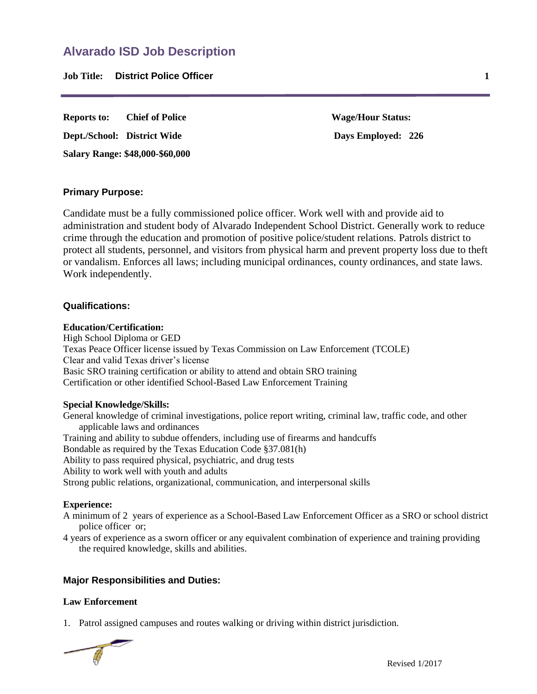**Job Title: District Police Officer 1**

**Reports to: Chief of Police Wage/Hour Status: Dept./School: District Wide Days Employed: 226 Salary Range: \$48,000-\$60,000**

# **Primary Purpose:**

Candidate must be a fully commissioned police officer. Work well with and provide aid to administration and student body of Alvarado Independent School District. Generally work to reduce crime through the education and promotion of positive police/student relations. Patrols district to protect all students, personnel, and visitors from physical harm and prevent property loss due to theft or vandalism. Enforces all laws; including municipal ordinances, county ordinances, and state laws. Work independently.

## **Qualifications:**

#### **Education/Certification:**

High School Diploma or GED Texas Peace Officer license issued by Texas Commission on Law Enforcement (TCOLE) Clear and valid Texas driver's license Basic SRO training certification or ability to attend and obtain SRO training Certification or other identified School-Based Law Enforcement Training

## **Special Knowledge/Skills:**

General knowledge of criminal investigations, police report writing, criminal law, traffic code, and other applicable laws and ordinances Training and ability to subdue offenders, including use of firearms and handcuffs Bondable as required by the Texas Education Code §37.081(h) Ability to pass required physical, psychiatric, and drug tests Ability to work well with youth and adults Strong public relations, organizational, communication, and interpersonal skills

## **Experience:**

A minimum of 2 years of experience as a School-Based Law Enforcement Officer as a SRO or school district police officer or;

4 years of experience as a sworn officer or any equivalent combination of experience and training providing the required knowledge, skills and abilities.

## **Major Responsibilities and Duties:**

## **Law Enforcement**

1. Patrol assigned campuses and routes walking or driving within district jurisdiction.

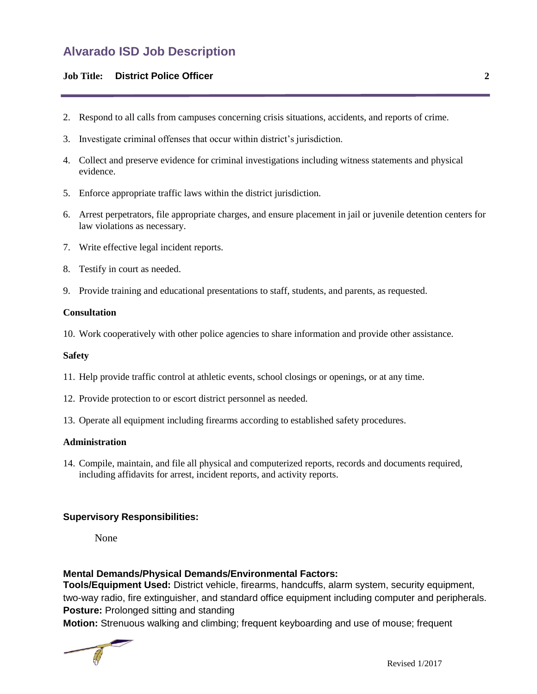# **Alvarado ISD Job Description**

# **Job Title: District Police Officer 2**

- 2. Respond to all calls from campuses concerning crisis situations, accidents, and reports of crime.
- 3. Investigate criminal offenses that occur within district's jurisdiction.
- 4. Collect and preserve evidence for criminal investigations including witness statements and physical evidence.
- 5. Enforce appropriate traffic laws within the district jurisdiction.
- 6. Arrest perpetrators, file appropriate charges, and ensure placement in jail or juvenile detention centers for law violations as necessary.
- 7. Write effective legal incident reports.
- 8. Testify in court as needed.
- 9. Provide training and educational presentations to staff, students, and parents, as requested.

#### **Consultation**

10. Work cooperatively with other police agencies to share information and provide other assistance.

#### **Safety**

- 11. Help provide traffic control at athletic events, school closings or openings, or at any time.
- 12. Provide protection to or escort district personnel as needed.
- 13. Operate all equipment including firearms according to established safety procedures.

#### **Administration**

14. Compile, maintain, and file all physical and computerized reports, records and documents required, including affidavits for arrest, incident reports, and activity reports.

## **Supervisory Responsibilities:**

None

## **Mental Demands/Physical Demands/Environmental Factors:**

**Tools/Equipment Used:** District vehicle, firearms, handcuffs, alarm system, security equipment, two-way radio, fire extinguisher, and standard office equipment including computer and peripherals. **Posture:** Prolonged sitting and standing

**Motion:** Strenuous walking and climbing; frequent keyboarding and use of mouse; frequent